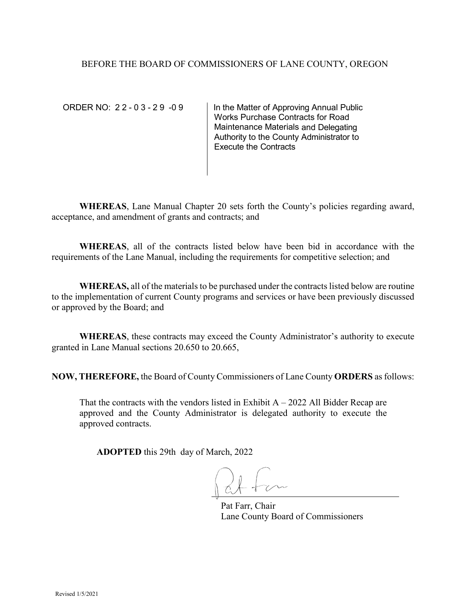### BEFORE THE BOARD OF COMMISSIONERS OF LANE COUNTY, OREGON

ORDER NO: 2 2 - 0 3 - 2 9 - 0 9 | In the Matter of Approving Annual Public Works Purchase Contracts for Road Maintenance Materials and Delegating Authority to the County Administrator to Execute the Contracts

**WHEREAS**, Lane Manual Chapter 20 sets forth the County's policies regarding award, acceptance, and amendment of grants and contracts; and

**WHEREAS**, all of the contracts listed below have been bid in accordance with the requirements of the Lane Manual, including the requirements for competitive selection; and

**WHEREAS,** all of the materials to be purchased under the contracts listed below are routine to the implementation of current County programs and services or have been previously discussed or approved by the Board; and

**WHEREAS**, these contracts may exceed the County Administrator's authority to execute granted in Lane Manual sections 20.650 to 20.665,

**NOW, THEREFORE,** the Board of County Commissioners of Lane County **ORDERS** as follows:

That the contracts with the vendors listed in Exhibit  $A - 2022$  All Bidder Recap are approved and the County Administrator is delegated authority to execute the approved contracts.

**ADOPTED** this 29th day of March, 2022

Pat Farr, Chair Lane County Board of Commissioners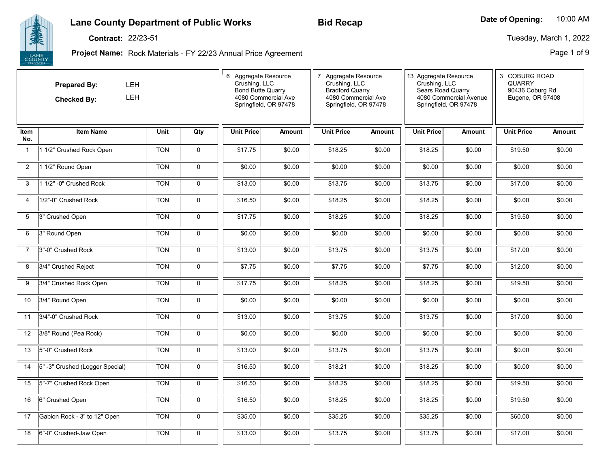### **Lane County Department of Public Works**

#### **Contract:** 22/23-51

**Project Name:** Rock Materials - FY 22/23 Annual Price Agreement

|                | <b>LEH</b><br><b>Prepared By:</b><br><b>LEH</b><br><b>Checked By:</b><br><b>Item Name</b><br>Unit |            |             | 6 Aggregate Resource<br>Crushing, LLC<br><b>Bond Butte Quarry</b><br>4080 Commercial Ave<br>Springfield, OR 97478 |               | 7 Aggregate Resource<br>Crushing, LLC<br><b>Bradford Quarry</b><br>4080 Commercial Ave<br>Springfield, OR 97478<br><b>Unit Price</b><br><b>Amount</b> |        | 13 Aggregate Resource<br>Crushing, LLC<br>Sears Road Quarry<br>4080 Commercial Avenue<br>Springfield, OR 97478 |        | 3 COBURG ROAD<br><b>QUARRY</b><br>90436 Coburg Rd.<br>Eugene, OR 97408 |               |
|----------------|---------------------------------------------------------------------------------------------------|------------|-------------|-------------------------------------------------------------------------------------------------------------------|---------------|-------------------------------------------------------------------------------------------------------------------------------------------------------|--------|----------------------------------------------------------------------------------------------------------------|--------|------------------------------------------------------------------------|---------------|
| Item<br>No.    |                                                                                                   |            | Qty         | <b>Unit Price</b>                                                                                                 | <b>Amount</b> |                                                                                                                                                       |        | <b>Unit Price</b>                                                                                              | Amount | <b>Unit Price</b>                                                      | <b>Amount</b> |
| $\mathbf{1}$   | 1 1/2" Crushed Rock Open                                                                          | <b>TON</b> | 0           | \$17.75                                                                                                           | \$0.00        | \$18.25                                                                                                                                               | \$0.00 | \$18.25                                                                                                        | \$0.00 | \$19.50                                                                | \$0.00        |
| $\overline{2}$ | 1 1/2" Round Open                                                                                 | <b>TON</b> | 0           | \$0.00                                                                                                            | \$0.00        | \$0.00                                                                                                                                                | \$0.00 | \$0.00                                                                                                         | \$0.00 | \$0.00                                                                 | \$0.00        |
| 3              | 1 1/2" -0" Crushed Rock                                                                           | <b>TON</b> | 0           | \$13.00                                                                                                           | \$0.00        | \$13.75                                                                                                                                               | \$0.00 | \$13.75                                                                                                        | \$0.00 | \$17.00                                                                | \$0.00        |
| $\overline{4}$ | 1/2"-0" Crushed Rock                                                                              | <b>TON</b> | $\mathbf 0$ | \$16.50                                                                                                           | \$0.00        | \$18.25                                                                                                                                               | \$0.00 | \$18.25                                                                                                        | \$0.00 | \$0.00                                                                 | \$0.00        |
| 5              | 3" Crushed Open                                                                                   | <b>TON</b> | 0           | \$17.75                                                                                                           | \$0.00        | \$18.25                                                                                                                                               | \$0.00 | \$18.25                                                                                                        | \$0.00 | \$19.50                                                                | \$0.00        |
| 6              | 3" Round Open                                                                                     | <b>TON</b> | 0           | \$0.00                                                                                                            | \$0.00        | \$0.00                                                                                                                                                | \$0.00 | \$0.00                                                                                                         | \$0.00 | \$0.00                                                                 | \$0.00        |
| $\overline{7}$ | 3"-0" Crushed Rock                                                                                | <b>TON</b> | 0           | \$13.00                                                                                                           | \$0.00        | \$13.75                                                                                                                                               | \$0.00 | \$13.75                                                                                                        | \$0.00 | \$17.00                                                                | \$0.00        |
| 8              | 3/4" Crushed Reject                                                                               | <b>TON</b> | 0           | \$7.75                                                                                                            | \$0.00        | \$7.75                                                                                                                                                | \$0.00 | \$7.75                                                                                                         | \$0.00 | \$12.00                                                                | \$0.00        |
| 9              | 3/4" Crushed Rock Open                                                                            | <b>TON</b> | $\mathbf 0$ | \$17.75                                                                                                           | \$0.00        | \$18.25                                                                                                                                               | \$0.00 | \$18.25                                                                                                        | \$0.00 | \$19.50                                                                | \$0.00        |
| 10             | 3/4" Round Open                                                                                   | <b>TON</b> | 0           | \$0.00                                                                                                            | \$0.00        | \$0.00                                                                                                                                                | \$0.00 | \$0.00                                                                                                         | \$0.00 | \$0.00                                                                 | \$0.00        |
| 11             | 3/4"-0" Crushed Rock                                                                              | <b>TON</b> | $\mathbf 0$ | \$13.00                                                                                                           | \$0.00        | \$13.75                                                                                                                                               | \$0.00 | \$13.75                                                                                                        | \$0.00 | \$17.00                                                                | \$0.00        |
| 12             | 3/8" Round (Pea Rock)                                                                             | <b>TON</b> | 0           | \$0.00                                                                                                            | \$0.00        | \$0.00                                                                                                                                                | \$0.00 | \$0.00                                                                                                         | \$0.00 | \$0.00                                                                 | \$0.00        |
| 13             | 5"-0" Crushed Rock                                                                                | <b>TON</b> | 0           | \$13.00                                                                                                           | \$0.00        | \$13.75                                                                                                                                               | \$0.00 | \$13.75                                                                                                        | \$0.00 | \$0.00                                                                 | \$0.00        |
| 14             | 5" -3" Crushed (Logger Special)                                                                   | <b>TON</b> | 0           | \$16.50                                                                                                           | \$0.00        | \$18.21                                                                                                                                               | \$0.00 | \$18.25                                                                                                        | \$0.00 | \$0.00                                                                 | \$0.00        |
| 15             | 5"-7" Crushed Rock Open                                                                           | <b>TON</b> | 0           | \$16.50                                                                                                           | \$0.00        | \$18.25                                                                                                                                               | \$0.00 | \$18.25                                                                                                        | \$0.00 | \$19.50                                                                | \$0.00        |
| 16             | 6" Crushed Open                                                                                   | <b>TON</b> | 0           | \$16.50                                                                                                           | \$0.00        | \$18.25                                                                                                                                               | \$0.00 | \$18.25                                                                                                        | \$0.00 | \$19.50                                                                | \$0.00        |
| 17             | Gabion Rock - 3" to 12" Open                                                                      | <b>TON</b> | 0           | \$35.00                                                                                                           | \$0.00        | \$35.25                                                                                                                                               | \$0.00 | \$35.25                                                                                                        | \$0.00 | \$60.00                                                                | \$0.00        |
| 18             | 6"-0" Crushed-Jaw Open                                                                            | <b>TON</b> | $\mathbf 0$ | \$13.00                                                                                                           | \$0.00        | \$13.75                                                                                                                                               | \$0.00 | \$13.75                                                                                                        | \$0.00 | \$17.00                                                                | \$0.00        |



10:00 AM**Bid Recap Date of Opening:** 

Tuesday, March 1, 2022

Page 1 of 9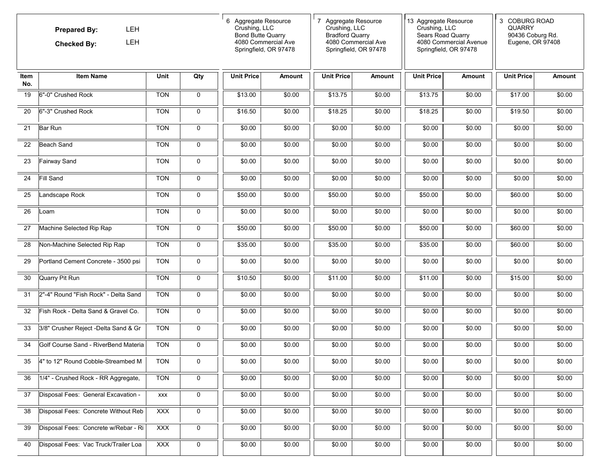|             | <b>LEH</b><br><b>Prepared By:</b><br>LEH<br><b>Checked By:</b><br><b>Item Name</b><br>Unit<br>Qty |            | 6 Aggregate Resource<br>Crushing, LLC<br><b>Bond Butte Quarry</b><br>4080 Commercial Ave<br>Springfield, OR 97478 |                   | 7 Aggregate Resource<br>Crushing, LLC<br><b>Bradford Quarry</b><br>4080 Commercial Ave<br>Springfield, OR 97478<br><b>Unit Price</b><br><b>Amount</b> |         | 13 Aggregate Resource<br>Crushing, LLC<br>Sears Road Quarry<br>4080 Commercial Avenue<br>Springfield, OR 97478<br><b>Unit Price</b><br>Amount |         | 3 COBURG ROAD<br><b>QUARRY</b><br>90436 Coburg Rd.<br>Eugene, OR 97408 |                   |               |
|-------------|---------------------------------------------------------------------------------------------------|------------|-------------------------------------------------------------------------------------------------------------------|-------------------|-------------------------------------------------------------------------------------------------------------------------------------------------------|---------|-----------------------------------------------------------------------------------------------------------------------------------------------|---------|------------------------------------------------------------------------|-------------------|---------------|
| Item<br>No. |                                                                                                   |            |                                                                                                                   | <b>Unit Price</b> | Amount                                                                                                                                                |         |                                                                                                                                               |         |                                                                        | <b>Unit Price</b> | <b>Amount</b> |
| 19          | 6"-0" Crushed Rock                                                                                | <b>TON</b> | 0                                                                                                                 | \$13.00           | \$0.00                                                                                                                                                | \$13.75 | \$0.00                                                                                                                                        | \$13.75 | \$0.00                                                                 | \$17.00           | \$0.00        |
| 20          | 6"-3" Crushed Rock                                                                                | <b>TON</b> | $\mathbf 0$                                                                                                       | \$16.50           | \$0.00                                                                                                                                                | \$18.25 | \$0.00                                                                                                                                        | \$18.25 | \$0.00                                                                 | \$19.50           | \$0.00        |
| 21          | <b>Bar Run</b>                                                                                    | <b>TON</b> | $\mathbf 0$                                                                                                       | \$0.00            | \$0.00                                                                                                                                                | \$0.00  | \$0.00                                                                                                                                        | \$0.00  | \$0.00                                                                 | \$0.00            | \$0.00        |
| 22          | Beach Sand                                                                                        | <b>TON</b> | $\mathbf 0$                                                                                                       | \$0.00            | \$0.00                                                                                                                                                | \$0.00  | \$0.00                                                                                                                                        | \$0.00  | \$0.00                                                                 | \$0.00            | \$0.00        |
| 23          | Fairway Sand                                                                                      | <b>TON</b> | 0                                                                                                                 | \$0.00            | \$0.00                                                                                                                                                | \$0.00  | \$0.00                                                                                                                                        | \$0.00  | \$0.00                                                                 | \$0.00            | \$0.00        |
| 24          | Fill Sand                                                                                         | <b>TON</b> | 0                                                                                                                 | \$0.00            | \$0.00                                                                                                                                                | \$0.00  | \$0.00                                                                                                                                        | \$0.00  | \$0.00                                                                 | \$0.00            | \$0.00        |
| 25          | Landscape Rock                                                                                    | <b>TON</b> | $\mathbf 0$                                                                                                       | \$50.00           | \$0.00                                                                                                                                                | \$50.00 | \$0.00                                                                                                                                        | \$50.00 | \$0.00                                                                 | \$60.00           | \$0.00        |
| 26          | Loam                                                                                              | <b>TON</b> | $\mathbf 0$                                                                                                       | \$0.00            | \$0.00                                                                                                                                                | \$0.00  | \$0.00                                                                                                                                        | \$0.00  | \$0.00                                                                 | \$0.00            | \$0.00        |
| 27          | Machine Selected Rip Rap                                                                          | <b>TON</b> | 0                                                                                                                 | \$50.00           | \$0.00                                                                                                                                                | \$50.00 | \$0.00                                                                                                                                        | \$50.00 | \$0.00                                                                 | \$60.00           | \$0.00        |
| 28          | Non-Machine Selected Rip Rap                                                                      | <b>TON</b> | 0                                                                                                                 | \$35.00           | \$0.00                                                                                                                                                | \$35.00 | \$0.00                                                                                                                                        | \$35.00 | \$0.00                                                                 | \$60.00           | \$0.00        |
| 29          | Portland Cement Concrete - 3500 psi                                                               | <b>TON</b> | 0                                                                                                                 | \$0.00            | \$0.00                                                                                                                                                | \$0.00  | \$0.00                                                                                                                                        | \$0.00  | \$0.00                                                                 | \$0.00            | \$0.00        |
| 30          | Quarry Pit Run                                                                                    | <b>TON</b> | 0                                                                                                                 | \$10.50           | \$0.00                                                                                                                                                | \$11.00 | \$0.00                                                                                                                                        | \$11.00 | \$0.00                                                                 | \$15.00           | \$0.00        |
| 31          | 2"-4" Round "Fish Rock" - Delta Sand                                                              | <b>TON</b> | $\mathbf 0$                                                                                                       | \$0.00            | \$0.00                                                                                                                                                | \$0.00  | \$0.00                                                                                                                                        | \$0.00  | \$0.00                                                                 | \$0.00            | \$0.00        |
| 32          | Fish Rock - Delta Sand & Gravel Co.                                                               | <b>TON</b> | $\mathbf 0$                                                                                                       | \$0.00            | \$0.00                                                                                                                                                | \$0.00  | \$0.00                                                                                                                                        | \$0.00  | \$0.00                                                                 | \$0.00            | \$0.00        |
| 33          | 3/8" Crusher Reject -Delta Sand & Gr                                                              | <b>TON</b> | 0                                                                                                                 | \$0.00            | \$0.00                                                                                                                                                | \$0.00  | \$0.00                                                                                                                                        | \$0.00  | \$0.00                                                                 | \$0.00            | \$0.00        |
| 34          | Golf Course Sand - RiverBend Materia                                                              | <b>TON</b> | $\mathbf 0$                                                                                                       | \$0.00            | \$0.00                                                                                                                                                | \$0.00  | \$0.00                                                                                                                                        | \$0.00  | \$0.00                                                                 | \$0.00            | \$0.00        |
| 35          | 4" to 12" Round Cobble-Streambed M                                                                | <b>TON</b> | 0                                                                                                                 | \$0.00            | \$0.00                                                                                                                                                | \$0.00  | \$0.00                                                                                                                                        | \$0.00  | \$0.00                                                                 | \$0.00            | \$0.00        |
| 36          | 1/4" - Crushed Rock - RR Aggregate,                                                               | <b>TON</b> | 0                                                                                                                 | \$0.00            | \$0.00                                                                                                                                                | \$0.00  | \$0.00                                                                                                                                        | \$0.00  | \$0.00                                                                 | \$0.00            | \$0.00        |
| 37          | Disposal Fees: General Excavation -                                                               | <b>XXX</b> | 0                                                                                                                 | \$0.00            | \$0.00                                                                                                                                                | \$0.00  | \$0.00                                                                                                                                        | \$0.00  | \$0.00                                                                 | \$0.00            | \$0.00        |
| 38          | Disposal Fees: Concrete Without Reb                                                               | <b>XXX</b> | 0                                                                                                                 | \$0.00            | \$0.00                                                                                                                                                | \$0.00  | \$0.00                                                                                                                                        | \$0.00  | \$0.00                                                                 | \$0.00            | \$0.00        |
| 39          | Disposal Fees: Concrete w/Rebar - Ri                                                              | <b>XXX</b> | $\pmb{0}$                                                                                                         | \$0.00            | \$0.00                                                                                                                                                | \$0.00  | \$0.00                                                                                                                                        | \$0.00  | \$0.00                                                                 | \$0.00            | \$0.00        |
| 40          | Disposal Fees: Vac Truck/Trailer Loa                                                              | <b>XXX</b> | $\pmb{0}$                                                                                                         | \$0.00            | \$0.00                                                                                                                                                | \$0.00  | \$0.00                                                                                                                                        | \$0.00  | \$0.00                                                                 | \$0.00            | \$0.00        |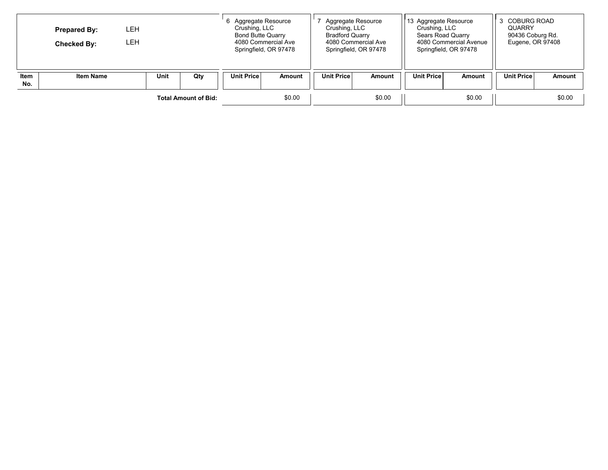|             | <b>Prepared By:</b><br><b>Checked By:</b> | LEH<br>LEH. |  |        | 6 Aggregate Resource<br>Crushing, LLC<br><b>Bond Butte Quarry</b><br>4080 Commercial Ave<br>Springfield, OR 97478 |        | Aggregate Resource<br>Crushing, LLC<br><b>Bradford Quarry</b><br>4080 Commercial Ave<br>Springfield, OR 97478 |               | 13 Aggregate Resource<br>Crushing, LLC<br>Sears Road Quarry<br>4080 Commercial Avenue<br>Springfield, OR 97478 |        | <b>COBURG ROAD</b><br><b>QUARRY</b><br>90436 Coburg Rd.<br>Eugene, OR 97408 |               |
|-------------|-------------------------------------------|-------------|--|--------|-------------------------------------------------------------------------------------------------------------------|--------|---------------------------------------------------------------------------------------------------------------|---------------|----------------------------------------------------------------------------------------------------------------|--------|-----------------------------------------------------------------------------|---------------|
| Item<br>No. | <b>Item Name</b>                          | Unit<br>Qty |  |        | <b>Unit Price</b>                                                                                                 | Amount | <b>Unit Price</b>                                                                                             | <b>Amount</b> | <b>Unit Price</b>                                                                                              | Amount | <b>Unit Price</b>                                                           | <b>Amount</b> |
|             | <b>Total Amount of Bid:</b>               |             |  | \$0.00 |                                                                                                                   | \$0.00 |                                                                                                               | \$0.00        |                                                                                                                | \$0.00 |                                                                             |               |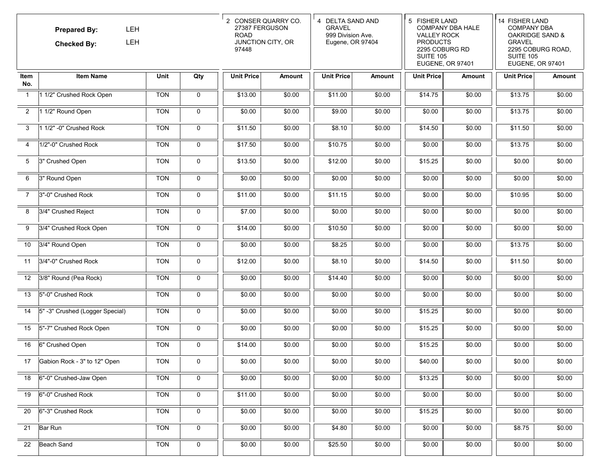|                   | LEH<br><b>Prepared By:</b><br>LEH<br><b>Checked By:</b><br><b>Item Name</b><br>Unit |            | 2 CONSER QUARRY CO.<br>27387 FERGUSON<br><b>ROAD</b><br>JUNCTION CITY, OR<br>97448 |                   | 4 DELTA SAND AND<br><b>GRAVEL</b><br>999 Division Ave.<br>Eugene, OR 97404 |                   | 5 FISHER LAND<br><b>COMPANY DBA HALE</b><br><b>VALLEY ROCK</b><br><b>PRODUCTS</b><br>2295 COBURG RD<br><b>SUITE 105</b><br>EUGENE, OR 97401<br><b>Unit Price</b><br>Amount |         | 14 FISHER LAND<br><b>COMPANY DBA</b><br><b>OAKRIDGE SAND &amp;</b><br><b>GRAVEL</b><br>2295 COBURG ROAD,<br><b>SUITE 105</b><br>EUGENE, OR 97401 |                   |        |
|-------------------|-------------------------------------------------------------------------------------|------------|------------------------------------------------------------------------------------|-------------------|----------------------------------------------------------------------------|-------------------|----------------------------------------------------------------------------------------------------------------------------------------------------------------------------|---------|--------------------------------------------------------------------------------------------------------------------------------------------------|-------------------|--------|
| Item<br>No.       |                                                                                     |            | Qty                                                                                | <b>Unit Price</b> | Amount                                                                     | <b>Unit Price</b> | <b>Amount</b>                                                                                                                                                              |         |                                                                                                                                                  | <b>Unit Price</b> | Amount |
| $\overline{1}$    | 1 1/2" Crushed Rock Open                                                            | <b>TON</b> | $\mathbf{0}$                                                                       | \$13.00           | \$0.00                                                                     | \$11.00           | \$0.00                                                                                                                                                                     | \$14.75 | \$0.00                                                                                                                                           | \$13.75           | \$0.00 |
| $\overline{2}$    | 1 1/2" Round Open                                                                   | <b>TON</b> | $\mathbf 0$                                                                        | \$0.00            | \$0.00                                                                     | \$9.00            | \$0.00                                                                                                                                                                     | \$0.00  | \$0.00                                                                                                                                           | \$13.75           | \$0.00 |
| 3                 | 1 1/2" -0" Crushed Rock                                                             | <b>TON</b> | 0                                                                                  | \$11.50           | \$0.00                                                                     | \$8.10            | \$0.00                                                                                                                                                                     | \$14.50 | \$0.00                                                                                                                                           | \$11.50           | \$0.00 |
| 4                 | 1/2"-0" Crushed Rock                                                                | <b>TON</b> | $\mathbf 0$                                                                        | \$17.50           | \$0.00                                                                     | \$10.75           | \$0.00                                                                                                                                                                     | \$0.00  | \$0.00                                                                                                                                           | \$13.75           | \$0.00 |
| 5                 | 3" Crushed Open                                                                     | <b>TON</b> | 0                                                                                  | \$13.50           | \$0.00                                                                     | \$12.00           | \$0.00                                                                                                                                                                     | \$15.25 | \$0.00                                                                                                                                           | \$0.00            | \$0.00 |
| 6                 | 3" Round Open                                                                       | <b>TON</b> | 0                                                                                  | \$0.00            | \$0.00                                                                     | \$0.00            | \$0.00                                                                                                                                                                     | \$0.00  | \$0.00                                                                                                                                           | \$0.00            | \$0.00 |
| $\overline{7}$    | 3"-0" Crushed Rock                                                                  | <b>TON</b> | $\mathbf 0$                                                                        | \$11.00           | \$0.00                                                                     | \$11.15           | \$0.00                                                                                                                                                                     | \$0.00  | \$0.00                                                                                                                                           | \$10.95           | \$0.00 |
| 8                 | 3/4" Crushed Reject                                                                 | <b>TON</b> | $\mathbf 0$                                                                        | \$7.00            | \$0.00                                                                     | \$0.00            | \$0.00                                                                                                                                                                     | \$0.00  | \$0.00                                                                                                                                           | \$0.00            | \$0.00 |
| 9                 | 3/4" Crushed Rock Open                                                              | <b>TON</b> | 0                                                                                  | \$14.00           | \$0.00                                                                     | \$10.50           | \$0.00                                                                                                                                                                     | \$0.00  | \$0.00                                                                                                                                           | \$0.00            | \$0.00 |
| 10                | 3/4" Round Open                                                                     | <b>TON</b> | 0                                                                                  | \$0.00            | \$0.00                                                                     | \$8.25            | \$0.00                                                                                                                                                                     | \$0.00  | \$0.00                                                                                                                                           | \$13.75           | \$0.00 |
| 11                | 3/4"-0" Crushed Rock                                                                | <b>TON</b> | 0                                                                                  | \$12.00           | \$0.00                                                                     | \$8.10            | \$0.00                                                                                                                                                                     | \$14.50 | \$0.00                                                                                                                                           | \$11.50           | \$0.00 |
| $12 \overline{ }$ | 3/8" Round (Pea Rock)                                                               | <b>TON</b> | $\mathbf 0$                                                                        | \$0.00            | \$0.00                                                                     | \$14.40           | \$0.00                                                                                                                                                                     | \$0.00  | \$0.00                                                                                                                                           | \$0.00            | \$0.00 |
| 13                | 5"-0" Crushed Rock                                                                  | <b>TON</b> | 0                                                                                  | \$0.00            | \$0.00                                                                     | \$0.00            | \$0.00                                                                                                                                                                     | \$0.00  | \$0.00                                                                                                                                           | \$0.00            | \$0.00 |
| 14                | 5" -3" Crushed (Logger Special)                                                     | <b>TON</b> | 0                                                                                  | \$0.00            | \$0.00                                                                     | \$0.00            | \$0.00                                                                                                                                                                     | \$15.25 | \$0.00                                                                                                                                           | \$0.00            | \$0.00 |
| 15                | 5"-7" Crushed Rock Open                                                             | <b>TON</b> | 0                                                                                  | \$0.00            | \$0.00                                                                     | \$0.00            | \$0.00                                                                                                                                                                     | \$15.25 | \$0.00                                                                                                                                           | \$0.00            | \$0.00 |
| 16                | 6" Crushed Open                                                                     | <b>TON</b> | $\mathbf 0$                                                                        | \$14.00           | \$0.00                                                                     | \$0.00            | \$0.00                                                                                                                                                                     | \$15.25 | \$0.00                                                                                                                                           | \$0.00            | \$0.00 |
| 17                | Gabion Rock - 3" to 12" Open                                                        | <b>TON</b> | 0                                                                                  | \$0.00            | \$0.00                                                                     | \$0.00            | \$0.00                                                                                                                                                                     | \$40.00 | \$0.00                                                                                                                                           | \$0.00            | \$0.00 |
| 18                | 6"-0" Crushed-Jaw Open                                                              | <b>TON</b> | 0                                                                                  | \$0.00            | \$0.00                                                                     | \$0.00            | \$0.00                                                                                                                                                                     | \$13.25 | \$0.00                                                                                                                                           | \$0.00            | \$0.00 |
| 19                | 6"-0" Crushed Rock                                                                  | <b>TON</b> | 0                                                                                  | \$11.00           | \$0.00                                                                     | \$0.00            | \$0.00                                                                                                                                                                     | \$0.00  | \$0.00                                                                                                                                           | \$0.00            | \$0.00 |
| 20                | 6"-3" Crushed Rock                                                                  | <b>TON</b> | $\mathbf 0$                                                                        | \$0.00            | \$0.00                                                                     | \$0.00            | \$0.00                                                                                                                                                                     | \$15.25 | \$0.00                                                                                                                                           | \$0.00            | \$0.00 |
| 21                | Bar Run                                                                             | <b>TON</b> | 0                                                                                  | \$0.00            | \$0.00                                                                     | \$4.80            | \$0.00                                                                                                                                                                     | \$0.00  | \$0.00                                                                                                                                           | \$8.75            | \$0.00 |
| 22                | Beach Sand                                                                          | <b>TON</b> | $\mathbf 0$                                                                        | \$0.00            | \$0.00                                                                     | \$25.50           | \$0.00                                                                                                                                                                     | \$0.00  | \$0.00                                                                                                                                           | \$0.00            | \$0.00 |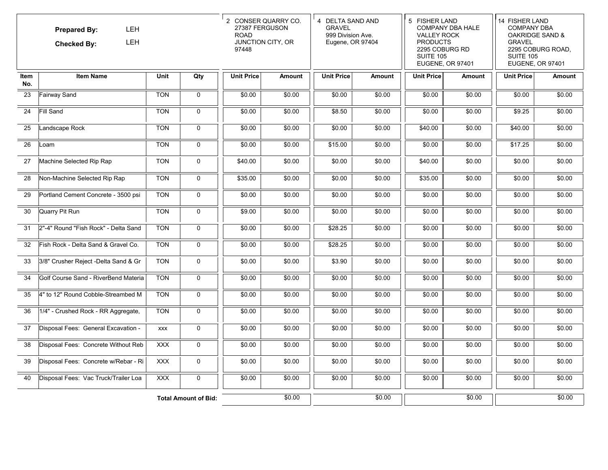|                    | <b>LEH</b><br><b>Prepared By:</b><br>LEH<br><b>Checked By:</b> |             |                             | 2 CONSER QUARRY CO.<br>27387 FERGUSON<br><b>ROAD</b><br>JUNCTION CITY, OR<br>97448 |               | 4 DELTA SAND AND<br><b>GRAVEL</b><br>999 Division Ave.<br>Eugene, OR 97404<br><b>Unit Price</b><br><b>Amount</b> |        | 5 FISHER LAND<br><b>COMPANY DBA HALE</b><br><b>VALLEY ROCK</b><br><b>PRODUCTS</b><br>2295 COBURG RD<br><b>SUITE 105</b><br>EUGENE, OR 97401<br><b>Unit Price</b><br>Amount |        | 14 FISHER LAND<br><b>COMPANY DBA</b><br><b>OAKRIDGE SAND &amp;</b><br><b>GRAVEL</b><br>2295 COBURG ROAD,<br><b>SUITE 105</b><br>EUGENE, OR 97401 |        |
|--------------------|----------------------------------------------------------------|-------------|-----------------------------|------------------------------------------------------------------------------------|---------------|------------------------------------------------------------------------------------------------------------------|--------|----------------------------------------------------------------------------------------------------------------------------------------------------------------------------|--------|--------------------------------------------------------------------------------------------------------------------------------------------------|--------|
| <b>Item</b><br>No. | <b>Item Name</b>                                               | <b>Unit</b> | Qty                         | <b>Unit Price</b>                                                                  | <b>Amount</b> |                                                                                                                  |        |                                                                                                                                                                            |        | <b>Unit Price</b>                                                                                                                                | Amount |
| 23                 | Fairway Sand                                                   | <b>TON</b>  | $\mathbf 0$                 | \$0.00                                                                             | \$0.00        | \$0.00                                                                                                           | \$0.00 | \$0.00                                                                                                                                                                     | \$0.00 | \$0.00                                                                                                                                           | \$0.00 |
| 24                 | Fill Sand                                                      | <b>TON</b>  | $\mathbf 0$                 | \$0.00                                                                             | \$0.00        | \$8.50                                                                                                           | \$0.00 | \$0.00                                                                                                                                                                     | \$0.00 | \$9.25                                                                                                                                           | \$0.00 |
| 25                 | Landscape Rock                                                 | <b>TON</b>  | $\mathsf{O}$                | \$0.00                                                                             | \$0.00        | \$0.00                                                                                                           | \$0.00 | \$40.00                                                                                                                                                                    | \$0.00 | \$40.00                                                                                                                                          | \$0.00 |
| 26                 | Loam                                                           | <b>TON</b>  | $\mathbf 0$                 | \$0.00                                                                             | \$0.00        | \$15.00                                                                                                          | \$0.00 | \$0.00                                                                                                                                                                     | \$0.00 | \$17.25                                                                                                                                          | \$0.00 |
| 27                 | Machine Selected Rip Rap                                       | <b>TON</b>  | $\mathbf 0$                 | \$40.00                                                                            | \$0.00        | \$0.00                                                                                                           | \$0.00 | \$40.00                                                                                                                                                                    | \$0.00 | \$0.00                                                                                                                                           | \$0.00 |
| 28                 | Non-Machine Selected Rip Rap                                   | <b>TON</b>  | 0                           | \$35.00                                                                            | \$0.00        | \$0.00                                                                                                           | \$0.00 | \$35.00                                                                                                                                                                    | \$0.00 | \$0.00                                                                                                                                           | \$0.00 |
| 29                 | Portland Cement Concrete - 3500 psi                            | <b>TON</b>  | $\mathsf{O}$                | \$0.00                                                                             | \$0.00        | \$0.00                                                                                                           | \$0.00 | \$0.00                                                                                                                                                                     | \$0.00 | \$0.00                                                                                                                                           | \$0.00 |
| 30                 | Quarry Pit Run                                                 | <b>TON</b>  | $\mathbf 0$                 | \$9.00                                                                             | \$0.00        | \$0.00                                                                                                           | \$0.00 | \$0.00                                                                                                                                                                     | \$0.00 | \$0.00                                                                                                                                           | \$0.00 |
| 31                 | 2"-4" Round "Fish Rock" - Delta Sand                           | <b>TON</b>  | $\mathbf 0$                 | \$0.00                                                                             | \$0.00        | \$28.25                                                                                                          | \$0.00 | \$0.00                                                                                                                                                                     | \$0.00 | \$0.00                                                                                                                                           | \$0.00 |
| 32                 | Fish Rock - Delta Sand & Gravel Co.                            | <b>TON</b>  | $\mathbf 0$                 | \$0.00                                                                             | \$0.00        | \$28.25                                                                                                          | \$0.00 | \$0.00                                                                                                                                                                     | \$0.00 | \$0.00                                                                                                                                           | \$0.00 |
| 33                 | 3/8" Crusher Reject -Delta Sand & Gr                           | <b>TON</b>  | $\mathsf{O}$                | \$0.00                                                                             | \$0.00        | \$3.90                                                                                                           | \$0.00 | \$0.00                                                                                                                                                                     | \$0.00 | \$0.00                                                                                                                                           | \$0.00 |
| 34                 | Golf Course Sand - RiverBend Materia                           | <b>TON</b>  | $\mathbf 0$                 | \$0.00                                                                             | \$0.00        | \$0.00                                                                                                           | \$0.00 | \$0.00                                                                                                                                                                     | \$0.00 | \$0.00                                                                                                                                           | \$0.00 |
| 35                 | 4" to 12" Round Cobble-Streambed M                             | <b>TON</b>  | $\mathbf 0$                 | \$0.00                                                                             | \$0.00        | \$0.00                                                                                                           | \$0.00 | \$0.00                                                                                                                                                                     | \$0.00 | \$0.00                                                                                                                                           | \$0.00 |
| 36                 | 1/4" - Crushed Rock - RR Aggregate,                            | <b>TON</b>  | $\mathbf 0$                 | \$0.00                                                                             | \$0.00        | \$0.00                                                                                                           | \$0.00 | \$0.00                                                                                                                                                                     | \$0.00 | \$0.00                                                                                                                                           | \$0.00 |
| 37                 | Disposal Fees: General Excavation -                            | <b>XXX</b>  | $\mathsf{O}$                | \$0.00                                                                             | \$0.00        | \$0.00                                                                                                           | \$0.00 | \$0.00                                                                                                                                                                     | \$0.00 | \$0.00                                                                                                                                           | \$0.00 |
| 38                 | Disposal Fees: Concrete Without Reb                            | <b>XXX</b>  | $\mathbf 0$                 | \$0.00                                                                             | \$0.00        | \$0.00                                                                                                           | \$0.00 | \$0.00                                                                                                                                                                     | \$0.00 | \$0.00                                                                                                                                           | \$0.00 |
| 39                 | Disposal Fees: Concrete w/Rebar - Ri                           | <b>XXX</b>  | 0                           | \$0.00                                                                             | \$0.00        | \$0.00                                                                                                           | \$0.00 | \$0.00                                                                                                                                                                     | \$0.00 | \$0.00                                                                                                                                           | \$0.00 |
| 40                 | Disposal Fees: Vac Truck/Trailer Loa                           | <b>XXX</b>  | $\mathbf 0$                 | \$0.00                                                                             | \$0.00        | \$0.00                                                                                                           | \$0.00 | \$0.00                                                                                                                                                                     | \$0.00 | \$0.00                                                                                                                                           | \$0.00 |
|                    |                                                                |             | <b>Total Amount of Bid:</b> |                                                                                    | \$0.00        |                                                                                                                  | \$0.00 |                                                                                                                                                                            | \$0.00 |                                                                                                                                                  | \$0.00 |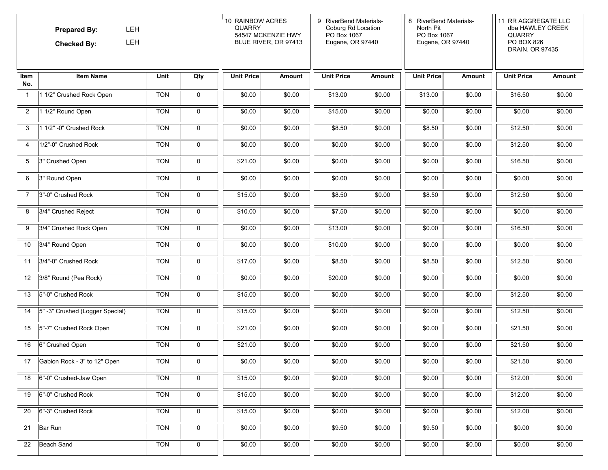|                   | LEH<br><b>Prepared By:</b><br>LEH<br><b>Checked By:</b> |            | 10 RAINBOW ACRES<br><b>QUARRY</b><br>54547 MCKENZIE HWY<br>BLUE RIVER, OR 97413 |                   | 9 RiverBend Materials-<br>Coburg Rd Location<br>PO Box 1067<br>Eugene, OR 97440<br><b>Unit Price</b><br>Amount |         | 8 RiverBend Materials-<br>North Pit<br>PO Box 1067<br>Eugene, OR 97440<br><b>Unit Price</b><br>Amount |         | 11 RR AGGREGATE LLC<br>dba HAWLEY CREEK<br><b>QUARRY</b><br>PO BOX 826<br>DRAIN, OR 97435 |                   |        |
|-------------------|---------------------------------------------------------|------------|---------------------------------------------------------------------------------|-------------------|----------------------------------------------------------------------------------------------------------------|---------|-------------------------------------------------------------------------------------------------------|---------|-------------------------------------------------------------------------------------------|-------------------|--------|
| Item<br>No.       | <b>Item Name</b>                                        | Unit       | Qty                                                                             | <b>Unit Price</b> | <b>Amount</b>                                                                                                  |         |                                                                                                       |         |                                                                                           | <b>Unit Price</b> | Amount |
| $\overline{1}$    | 1 1/2" Crushed Rock Open                                | <b>TON</b> | 0                                                                               | \$0.00            | \$0.00                                                                                                         | \$13.00 | \$0.00                                                                                                | \$13.00 | \$0.00                                                                                    | \$16.50           | \$0.00 |
| $\overline{2}$    | 1 1/2" Round Open                                       | <b>TON</b> | $\mathbf 0$                                                                     | \$0.00            | \$0.00                                                                                                         | \$15.00 | \$0.00                                                                                                | \$0.00  | \$0.00                                                                                    | \$0.00            | \$0.00 |
| 3                 | 1 1/2" -0" Crushed Rock                                 | <b>TON</b> | 0                                                                               | \$0.00            | \$0.00                                                                                                         | \$8.50  | \$0.00                                                                                                | \$8.50  | \$0.00                                                                                    | \$12.50           | \$0.00 |
| 4                 | 1/2"-0" Crushed Rock                                    | <b>TON</b> | 0                                                                               | \$0.00            | \$0.00                                                                                                         | \$0.00  | \$0.00                                                                                                | \$0.00  | \$0.00                                                                                    | \$12.50           | \$0.00 |
| 5                 | 3" Crushed Open                                         | <b>TON</b> | $\mathbf 0$                                                                     | \$21.00           | \$0.00                                                                                                         | \$0.00  | \$0.00                                                                                                | \$0.00  | \$0.00                                                                                    | \$16.50           | \$0.00 |
| 6                 | 3" Round Open                                           | <b>TON</b> | 0                                                                               | \$0.00            | \$0.00                                                                                                         | \$0.00  | \$0.00                                                                                                | \$0.00  | \$0.00                                                                                    | \$0.00            | \$0.00 |
| $\overline{7}$    | 3"-0" Crushed Rock                                      | <b>TON</b> | $\mathbf 0$                                                                     | \$15.00           | \$0.00                                                                                                         | \$8.50  | \$0.00                                                                                                | \$8.50  | \$0.00                                                                                    | \$12.50           | \$0.00 |
| 8                 | 3/4" Crushed Reject                                     | <b>TON</b> | 0                                                                               | \$10.00           | \$0.00                                                                                                         | \$7.50  | \$0.00                                                                                                | \$0.00  | \$0.00                                                                                    | \$0.00            | \$0.00 |
| 9                 | 3/4" Crushed Rock Open                                  | <b>TON</b> | 0                                                                               | \$0.00            | \$0.00                                                                                                         | \$13.00 | \$0.00                                                                                                | \$0.00  | \$0.00                                                                                    | \$16.50           | \$0.00 |
| 10                | 3/4" Round Open                                         | <b>TON</b> | $\mathbf 0$                                                                     | \$0.00            | \$0.00                                                                                                         | \$10.00 | \$0.00                                                                                                | \$0.00  | \$0.00                                                                                    | \$0.00            | \$0.00 |
| 11                | 3/4"-0" Crushed Rock                                    | <b>TON</b> | 0                                                                               | \$17.00           | \$0.00                                                                                                         | \$8.50  | \$0.00                                                                                                | \$8.50  | \$0.00                                                                                    | \$12.50           | \$0.00 |
| $12 \overline{ }$ | 3/8" Round (Pea Rock)                                   | <b>TON</b> | 0                                                                               | \$0.00            | \$0.00                                                                                                         | \$20.00 | \$0.00                                                                                                | \$0.00  | \$0.00                                                                                    | \$0.00            | \$0.00 |
| 13                | 5"-0" Crushed Rock                                      | <b>TON</b> | 0                                                                               | \$15.00           | \$0.00                                                                                                         | \$0.00  | \$0.00                                                                                                | \$0.00  | \$0.00                                                                                    | \$12.50           | \$0.00 |
| 14                | 5" -3" Crushed (Logger Special)                         | <b>TON</b> | 0                                                                               | \$15.00           | \$0.00                                                                                                         | \$0.00  | \$0.00                                                                                                | \$0.00  | \$0.00                                                                                    | \$12.50           | \$0.00 |
| 15                | 5"-7" Crushed Rock Open                                 | <b>TON</b> | 0                                                                               | \$21.00           | \$0.00                                                                                                         | \$0.00  | \$0.00                                                                                                | \$0.00  | \$0.00                                                                                    | \$21.50           | \$0.00 |
| 16                | 6" Crushed Open                                         | <b>TON</b> | 0                                                                               | \$21.00           | \$0.00                                                                                                         | \$0.00  | \$0.00                                                                                                | \$0.00  | \$0.00                                                                                    | \$21.50           | \$0.00 |
| 17                | Gabion Rock - 3" to 12" Open                            | <b>TON</b> | 0                                                                               | \$0.00            | \$0.00                                                                                                         | \$0.00  | \$0.00                                                                                                | \$0.00  | \$0.00                                                                                    | \$21.50           | \$0.00 |
| 18                | 6"-0" Crushed-Jaw Open                                  | <b>TON</b> | $\mathbf 0$                                                                     | \$15.00           | \$0.00                                                                                                         | \$0.00  | \$0.00                                                                                                | \$0.00  | \$0.00                                                                                    | \$12.00           | \$0.00 |
| 19                | 6"-0" Crushed Rock                                      | <b>TON</b> | 0                                                                               | \$15.00           | \$0.00                                                                                                         | \$0.00  | \$0.00                                                                                                | \$0.00  | \$0.00                                                                                    | \$12.00           | \$0.00 |
| 20                | 6"-3" Crushed Rock                                      | <b>TON</b> | 0                                                                               | \$15.00           | \$0.00                                                                                                         | \$0.00  | \$0.00                                                                                                | \$0.00  | \$0.00                                                                                    | \$12.00           | \$0.00 |
| 21                | Bar Run                                                 | <b>TON</b> | $\mathbf 0$                                                                     | \$0.00            | \$0.00                                                                                                         | \$9.50  | \$0.00                                                                                                | \$9.50  | \$0.00                                                                                    | \$0.00            | \$0.00 |
| 22                | <b>Beach Sand</b>                                       | <b>TON</b> | $\mathsf{O}\xspace$                                                             | \$0.00            | \$0.00                                                                                                         | \$0.00  | \$0.00                                                                                                | \$0.00  | \$0.00                                                                                    | \$0.00            | \$0.00 |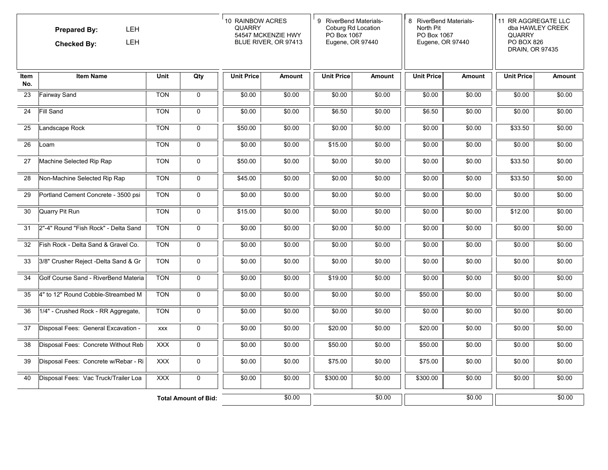|             | LEH<br><b>Prepared By:</b><br>LEH<br><b>Checked By:</b><br><b>Unit</b><br><b>Item Name</b><br>Qty |            |                             | 10 RAINBOW ACRES<br><b>QUARRY</b><br>54547 MCKENZIE HWY<br>BLUE RIVER, OR 97413 |               | 9 RiverBend Materials-<br>Coburg Rd Location<br>PO Box 1067<br>Eugene, OR 97440<br><b>Unit Price</b><br><b>Amount</b> |        | 8 RiverBend Materials-<br>North Pit<br>PO Box 1067<br>Eugene, OR 97440 |               | 11 RR AGGREGATE LLC<br>dba HAWLEY CREEK<br><b>QUARRY</b><br>PO BOX 826<br>DRAIN, OR 97435 |               |
|-------------|---------------------------------------------------------------------------------------------------|------------|-----------------------------|---------------------------------------------------------------------------------|---------------|-----------------------------------------------------------------------------------------------------------------------|--------|------------------------------------------------------------------------|---------------|-------------------------------------------------------------------------------------------|---------------|
| Item<br>No. |                                                                                                   |            |                             | <b>Unit Price</b>                                                               | <b>Amount</b> |                                                                                                                       |        | <b>Unit Price</b>                                                      | <b>Amount</b> | <b>Unit Price</b>                                                                         | <b>Amount</b> |
| 23          | <b>Fairway Sand</b>                                                                               | <b>TON</b> | $\mathbf 0$                 | \$0.00                                                                          | \$0.00        | \$0.00                                                                                                                | \$0.00 | \$0.00                                                                 | \$0.00        | \$0.00                                                                                    | \$0.00        |
| 24          | Fill Sand                                                                                         | <b>TON</b> | $\mathbf 0$                 | \$0.00                                                                          | \$0.00        | \$6.50                                                                                                                | \$0.00 | \$6.50                                                                 | \$0.00        | \$0.00                                                                                    | \$0.00        |
| 25          | Landscape Rock                                                                                    | <b>TON</b> | $\mathbf 0$                 | \$50.00                                                                         | \$0.00        | \$0.00                                                                                                                | \$0.00 | \$0.00                                                                 | \$0.00        | \$33.50                                                                                   | \$0.00        |
| 26          | Loam                                                                                              | <b>TON</b> | $\mathbf 0$                 | \$0.00                                                                          | \$0.00        | \$15.00                                                                                                               | \$0.00 | \$0.00                                                                 | \$0.00        | \$0.00                                                                                    | \$0.00        |
| 27          | Machine Selected Rip Rap                                                                          | <b>TON</b> | 0                           | \$50.00                                                                         | \$0.00        | \$0.00                                                                                                                | \$0.00 | \$0.00                                                                 | \$0.00        | \$33.50                                                                                   | \$0.00        |
| 28          | Non-Machine Selected Rip Rap                                                                      | <b>TON</b> | 0                           | \$45.00                                                                         | \$0.00        | \$0.00                                                                                                                | \$0.00 | \$0.00                                                                 | \$0.00        | \$33.50                                                                                   | \$0.00        |
| 29          | Portland Cement Concrete - 3500 psi                                                               | <b>TON</b> | 0                           | \$0.00                                                                          | \$0.00        | \$0.00                                                                                                                | \$0.00 | \$0.00                                                                 | \$0.00        | \$0.00                                                                                    | \$0.00        |
| 30          | Quarry Pit Run                                                                                    | <b>TON</b> | 0                           | \$15.00                                                                         | \$0.00        | \$0.00                                                                                                                | \$0.00 | \$0.00                                                                 | \$0.00        | \$12.00                                                                                   | \$0.00        |
| 31          | 2"-4" Round "Fish Rock" - Delta Sand                                                              | <b>TON</b> | $\mathbf 0$                 | \$0.00                                                                          | \$0.00        | \$0.00                                                                                                                | \$0.00 | \$0.00                                                                 | \$0.00        | \$0.00                                                                                    | \$0.00        |
| 32          | Fish Rock - Delta Sand & Gravel Co.                                                               | <b>TON</b> | $\mathbf 0$                 | \$0.00                                                                          | \$0.00        | \$0.00                                                                                                                | \$0.00 | \$0.00                                                                 | \$0.00        | \$0.00                                                                                    | \$0.00        |
| 33          | 3/8" Crusher Reject -Delta Sand & Gr                                                              | <b>TON</b> | $\mathbf 0$                 | \$0.00                                                                          | \$0.00        | \$0.00                                                                                                                | \$0.00 | \$0.00                                                                 | \$0.00        | \$0.00                                                                                    | \$0.00        |
| 34          | Golf Course Sand - RiverBend Materia                                                              | <b>TON</b> | 0                           | \$0.00                                                                          | \$0.00        | \$19.00                                                                                                               | \$0.00 | \$0.00                                                                 | \$0.00        | \$0.00                                                                                    | \$0.00        |
| 35          | 4" to 12" Round Cobble-Streambed M                                                                | <b>TON</b> | 0                           | \$0.00                                                                          | \$0.00        | \$0.00                                                                                                                | \$0.00 | \$50.00                                                                | \$0.00        | \$0.00                                                                                    | \$0.00        |
| 36          | 1/4" - Crushed Rock - RR Aggregate,                                                               | <b>TON</b> | $\mathbf 0$                 | \$0.00                                                                          | \$0.00        | \$0.00                                                                                                                | \$0.00 | \$0.00                                                                 | \$0.00        | \$0.00                                                                                    | \$0.00        |
| 37          | Disposal Fees: General Excavation -                                                               | <b>XXX</b> | 0                           | \$0.00                                                                          | \$0.00        | \$20.00                                                                                                               | \$0.00 | \$20.00                                                                | \$0.00        | \$0.00                                                                                    | \$0.00        |
| 38          | Disposal Fees: Concrete Without Reb                                                               | <b>XXX</b> | 0                           | \$0.00                                                                          | \$0.00        | \$50.00                                                                                                               | \$0.00 | \$50.00                                                                | \$0.00        | \$0.00                                                                                    | \$0.00        |
| 39          | Disposal Fees: Concrete w/Rebar - Ri                                                              | <b>XXX</b> | 0                           | \$0.00                                                                          | \$0.00        | \$75.00                                                                                                               | \$0.00 | \$75.00                                                                | \$0.00        | \$0.00                                                                                    | \$0.00        |
| 40          | Disposal Fees: Vac Truck/Trailer Loa                                                              | <b>XXX</b> | $\mathbf 0$                 | \$0.00                                                                          | \$0.00        | \$300.00                                                                                                              | \$0.00 | \$300.00                                                               | \$0.00        | \$0.00                                                                                    | \$0.00        |
|             |                                                                                                   |            | <b>Total Amount of Bid:</b> |                                                                                 | \$0.00        |                                                                                                                       | \$0.00 |                                                                        | \$0.00        |                                                                                           | \$0.00        |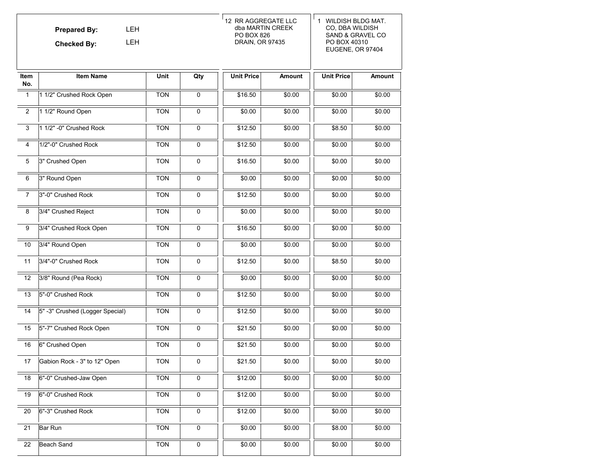|                  | <b>LEH</b><br><b>Prepared By:</b><br><b>LEH</b><br><b>Checked By:</b> |            |                     | 12 RR AGGREGATE LLC<br>dba MARTIN CREEK<br>PO BOX 826<br>DRAIN, OR 97435 |               | 1 WILDISH BLDG MAT.<br>CO, DBA WILDISH<br>SAND & GRAVEL CO<br>PO BOX 40310<br>EUGENE, OR 97404 |               |  |
|------------------|-----------------------------------------------------------------------|------------|---------------------|--------------------------------------------------------------------------|---------------|------------------------------------------------------------------------------------------------|---------------|--|
| Item<br>No.      | <b>Item Name</b>                                                      | Unit       | Qty                 | <b>Unit Price</b>                                                        | <b>Amount</b> | <b>Unit Price</b>                                                                              | <b>Amount</b> |  |
| $\overline{1}$   | 1 1/2" Crushed Rock Open                                              | <b>TON</b> | $\mathsf{O}\xspace$ | \$16.50                                                                  | \$0.00        | \$0.00                                                                                         | \$0.00        |  |
| $\overline{2}$   | 1 1/2" Round Open                                                     | <b>TON</b> | 0                   | \$0.00                                                                   | \$0.00        | \$0.00                                                                                         | \$0.00        |  |
| 3                | 1 1/2" -0" Crushed Rock                                               | <b>TON</b> | $\mathbf 0$         | \$12.50                                                                  | \$0.00        | \$8.50                                                                                         | \$0.00        |  |
| 4                | 1/2"-0" Crushed Rock                                                  | <b>TON</b> | 0                   | \$12.50                                                                  | \$0.00        | \$0.00                                                                                         | \$0.00        |  |
| 5                | 3" Crushed Open                                                       | <b>TON</b> | 0                   | \$16.50                                                                  | \$0.00        | \$0.00                                                                                         | \$0.00        |  |
| $\,6\,$          | 3" Round Open                                                         | <b>TON</b> | $\mathsf{O}\xspace$ | \$0.00                                                                   | \$0.00        | \$0.00                                                                                         | \$0.00        |  |
| $\overline{7}$   | 3"-0" Crushed Rock                                                    | <b>TON</b> | $\mathsf 0$         | \$12.50                                                                  | \$0.00        | \$0.00                                                                                         | \$0.00        |  |
| $\overline{8}$   | 3/4" Crushed Reject                                                   | <b>TON</b> | $\mathbf 0$         | \$0.00                                                                   | \$0.00        | \$0.00                                                                                         | \$0.00        |  |
| $\boldsymbol{9}$ | 3/4" Crushed Rock Open                                                | <b>TON</b> | $\mathbf 0$         | \$16.50                                                                  | \$0.00        | \$0.00                                                                                         | \$0.00        |  |
| 10               | 3/4" Round Open                                                       | <b>TON</b> | 0                   | \$0.00                                                                   | \$0.00        | \$0.00                                                                                         | \$0.00        |  |
| 11               | 3/4"-0" Crushed Rock                                                  | <b>TON</b> | 0                   | \$12.50                                                                  | \$0.00        | \$8.50                                                                                         | \$0.00        |  |
| 12               | 3/8" Round (Pea Rock)                                                 | <b>TON</b> | $\mathbf 0$         | \$0.00                                                                   | \$0.00        | \$0.00                                                                                         | \$0.00        |  |
| 13               | 5"-0" Crushed Rock                                                    | <b>TON</b> | $\mathsf{O}\xspace$ | \$12.50                                                                  | \$0.00        | \$0.00                                                                                         | \$0.00        |  |
| 14               | 5" -3" Crushed (Logger Special)                                       | <b>TON</b> | 0                   | \$12.50                                                                  | \$0.00        | \$0.00                                                                                         | \$0.00        |  |
| 15               | 5"-7" Crushed Rock Open                                               | <b>TON</b> | $\mathbf 0$         | \$21.50                                                                  | \$0.00        | \$0.00                                                                                         | \$0.00        |  |
| 16               | 6" Crushed Open                                                       | <b>TON</b> | 0                   | \$21.50                                                                  | \$0.00        | \$0.00                                                                                         | \$0.00        |  |
| 17               | Gabion Rock - 3" to 12" Open                                          | <b>TON</b> | 0                   | \$21.50                                                                  | \$0.00        | \$0.00                                                                                         | \$0.00        |  |
| 18               | 6"-0" Crushed-Jaw Open                                                | <b>TON</b> | $\mathsf{O}\xspace$ | \$12.00                                                                  | \$0.00        | \$0.00                                                                                         | \$0.00        |  |
| 19               | 6"-0" Crushed Rock                                                    | <b>TON</b> | $\pmb{0}$           | \$12.00                                                                  | \$0.00        | \$0.00                                                                                         | \$0.00        |  |
| 20               | 6"-3" Crushed Rock                                                    | <b>TON</b> | $\mathsf{O}\xspace$ | \$12.00                                                                  | \$0.00        | \$0.00                                                                                         | \$0.00        |  |
| 21               | Bar Run                                                               | <b>TON</b> | 0                   | \$0.00                                                                   | \$0.00        | \$8.00                                                                                         | \$0.00        |  |
| 22               | <b>Beach Sand</b>                                                     | <b>TON</b> | $\mathsf 0$         | \$0.00                                                                   | \$0.00        | \$0.00                                                                                         | \$0.00        |  |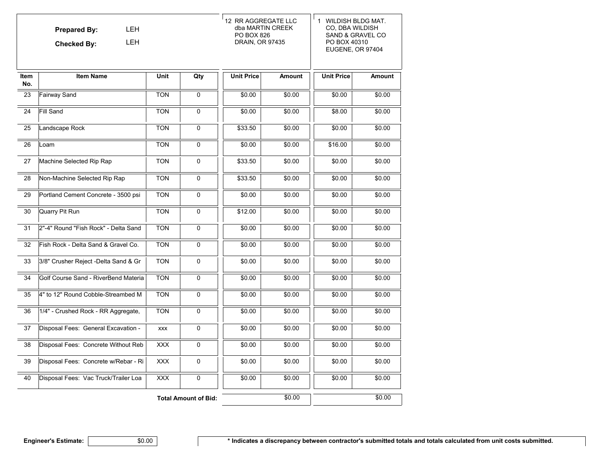|                    | <b>LEH</b><br><b>Prepared By:</b><br><b>LEH</b><br><b>Checked By:</b> |             |                             | 12 RR AGGREGATE LLC<br>dba MARTIN CREEK<br>PO BOX 826<br>DRAIN, OR 97435 |               | 1 WILDISH BLDG MAT.<br>CO, DBA WILDISH<br>SAND & GRAVEL CO<br>PO BOX 40310<br>EUGENE, OR 97404 |               |  |
|--------------------|-----------------------------------------------------------------------|-------------|-----------------------------|--------------------------------------------------------------------------|---------------|------------------------------------------------------------------------------------------------|---------------|--|
| <b>Item</b><br>No. | <b>Item Name</b>                                                      | <b>Unit</b> | Qty                         | <b>Unit Price</b>                                                        | <b>Amount</b> | <b>Unit Price</b>                                                                              | <b>Amount</b> |  |
| 23                 | Fairway Sand                                                          | <b>TON</b>  | 0                           | \$0.00                                                                   | \$0.00        | \$0.00                                                                                         | \$0.00        |  |
| 24                 | Fill Sand                                                             | <b>TON</b>  | $\Omega$                    | \$0.00                                                                   | \$0.00        | \$8.00                                                                                         | \$0.00        |  |
| 25                 | Landscape Rock                                                        | <b>TON</b>  | $\mathbf 0$                 | \$33.50                                                                  | \$0.00        | \$0.00                                                                                         | \$0.00        |  |
| 26                 | Loam                                                                  | <b>TON</b>  | 0                           | \$0.00                                                                   | \$0.00        | \$16.00                                                                                        | \$0.00        |  |
| 27                 | Machine Selected Rip Rap                                              | <b>TON</b>  | $\pmb{0}$                   | \$33.50                                                                  | \$0.00        | \$0.00                                                                                         | \$0.00        |  |
| 28                 | Non-Machine Selected Rip Rap                                          | <b>TON</b>  | $\mathbf 0$                 | \$33.50                                                                  | \$0.00        | \$0.00                                                                                         | \$0.00        |  |
| 29                 | Portland Cement Concrete - 3500 psi                                   | <b>TON</b>  | $\Omega$                    | \$0.00                                                                   | \$0.00        | \$0.00                                                                                         | \$0.00        |  |
| 30                 | Quarry Pit Run                                                        | <b>TON</b>  | 0                           | \$12.00                                                                  | \$0.00        | \$0.00                                                                                         | \$0.00        |  |
| 31                 | 2"-4" Round "Fish Rock" - Delta Sand                                  | <b>TON</b>  | 0                           | \$0.00                                                                   | \$0.00        | \$0.00                                                                                         | \$0.00        |  |
| 32                 | Fish Rock - Delta Sand & Gravel Co.                                   | <b>TON</b>  | 0                           | \$0.00                                                                   | \$0.00        | \$0.00                                                                                         | \$0.00        |  |
| 33                 | 3/8" Crusher Reject -Delta Sand & Gr                                  | <b>TON</b>  | 0                           | \$0.00                                                                   | \$0.00        | \$0.00                                                                                         | \$0.00        |  |
| 34                 | Golf Course Sand - RiverBend Materia                                  | <b>TON</b>  | $\mathbf 0$                 | \$0.00                                                                   | \$0.00        | \$0.00                                                                                         | \$0.00        |  |
| 35                 | 4" to 12" Round Cobble-Streambed M                                    | <b>TON</b>  | 0                           | \$0.00                                                                   | \$0.00        | \$0.00                                                                                         | \$0.00        |  |
| 36                 | 1/4" - Crushed Rock - RR Aggregate,                                   | <b>TON</b>  | $\Omega$                    | \$0.00                                                                   | \$0.00        | \$0.00                                                                                         | \$0.00        |  |
| 37                 | Disposal Fees: General Excavation -                                   | <b>XXX</b>  | 0                           | \$0.00                                                                   | \$0.00        | \$0.00                                                                                         | \$0.00        |  |
| 38                 | Disposal Fees: Concrete Without Reb                                   | <b>XXX</b>  | $\mathbf 0$                 | \$0.00                                                                   | \$0.00        | \$0.00                                                                                         | \$0.00        |  |
| 39                 | Disposal Fees: Concrete w/Rebar - Ri                                  | <b>XXX</b>  | 0                           | \$0.00                                                                   | \$0.00        | \$0.00                                                                                         | \$0.00        |  |
| 40                 | Disposal Fees: Vac Truck/Trailer Loa                                  | <b>XXX</b>  | $\overline{0}$              | \$0.00                                                                   | \$0.00        | \$0.00                                                                                         | \$0.00        |  |
|                    |                                                                       |             | <b>Total Amount of Bid:</b> |                                                                          | \$0.00        |                                                                                                | \$0.00        |  |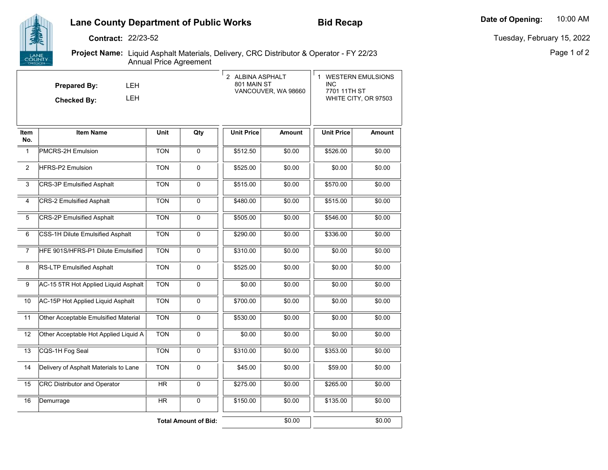# **Lane County Department of Public Works**

Tuesday, February 15, 2022

Page 1 of 2

**Contract:** 22/23-52

COUNTY

**Project Name:** Liquid Asphalt Materials, Delivery, CRC Distributor & Operator - FY 22/23 Annual Price Agreement

|                 | LEH<br><b>Prepared By:</b><br><b>LEH</b><br><b>Checked By:</b> |             |                             | 2 ALBINA ASPHALT<br>801 MAIN ST | VANCOUVER, WA 98660 | 1 WESTERN EMULSIONS<br><b>INC</b><br>7701 11TH ST<br>WHITE CITY, OR 97503 |               |
|-----------------|----------------------------------------------------------------|-------------|-----------------------------|---------------------------------|---------------------|---------------------------------------------------------------------------|---------------|
| Item<br>No.     | <b>Item Name</b>                                               | <b>Unit</b> | Qty                         | <b>Unit Price</b>               | Amount              | <b>Unit Price</b>                                                         | <b>Amount</b> |
| 1               | PMCRS-2H Emulsion                                              | <b>TON</b>  | 0                           | \$512.50                        | \$0.00              | \$526.00                                                                  | \$0.00        |
| $\overline{2}$  | <b>HFRS-P2 Emulsion</b>                                        | <b>TON</b>  | 0                           | \$525.00                        | \$0.00              | \$0.00                                                                    | \$0.00        |
| 3               | <b>CRS-3P Emulsified Asphalt</b>                               | <b>TON</b>  | 0                           | \$515.00                        | \$0.00              | \$570.00                                                                  | \$0.00        |
| 4               | <b>CRS-2 Emulsified Asphalt</b>                                | <b>TON</b>  | $\pmb{0}$                   | \$480.00                        | \$0.00              | \$515.00                                                                  | \$0.00        |
| 5               | <b>CRS-2P Emulsified Asphalt</b>                               | <b>TON</b>  | 0                           | \$505.00                        | \$0.00              | \$546.00                                                                  | \$0.00        |
| 6               | CSS-1H Dilute Emulsified Asphalt                               | <b>TON</b>  | $\pmb{0}$                   | \$290.00                        | \$0.00              | \$336.00                                                                  | \$0.00        |
| $\overline{7}$  | HFE 901S/HFRS-P1 Dilute Emulsified                             | <b>TON</b>  | 0                           | \$310.00                        | \$0.00              | \$0.00                                                                    | \$0.00        |
| 8               | RS-LTP Emulsified Asphalt                                      | <b>TON</b>  | 0                           | \$525.00                        | \$0.00              | \$0.00                                                                    | \$0.00        |
| 9               | AC-15 5TR Hot Applied Liquid Asphalt                           | <b>TON</b>  | 0                           | \$0.00                          | \$0.00              | \$0.00                                                                    | \$0.00        |
| 10              | AC-15P Hot Applied Liquid Asphalt                              | <b>TON</b>  | 0                           | \$700.00                        | \$0.00              | \$0.00                                                                    | \$0.00        |
| $\overline{11}$ | Other Acceptable Emulsified Material                           | <b>TON</b>  | 0                           | \$530.00                        | \$0.00              | \$0.00                                                                    | \$0.00        |
| 12              | Other Acceptable Hot Applied Liquid A                          | <b>TON</b>  | $\pmb{0}$                   | \$0.00                          | \$0.00              | \$0.00                                                                    | \$0.00        |
| 13              | CQS-1H Fog Seal                                                | <b>TON</b>  | 0                           | \$310.00                        | \$0.00              | \$353.00                                                                  | \$0.00        |
| 14              | Delivery of Asphalt Materials to Lane                          | <b>TON</b>  | 0                           | \$45.00                         | \$0.00              | \$59.00                                                                   | \$0.00        |
| 15              | <b>CRC Distributor and Operator</b>                            | <b>HR</b>   | 0                           | \$275.00                        | \$0.00              | \$265.00                                                                  | \$0.00        |
| 16              | Demurrage                                                      | HR          | 0                           | \$150.00                        | \$0.00              | \$135.00                                                                  | \$0.00        |
|                 |                                                                |             | <b>Total Amount of Bid:</b> |                                 | \$0.00              |                                                                           | \$0.00        |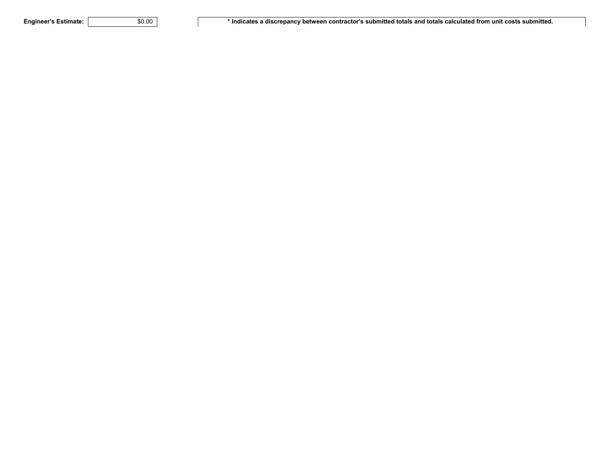Engineer's Estimate: **We are the Soute 30.00 \*** Indicates a discrepancy between contractor's submitted totals and totals calculated from unit costs submitted.